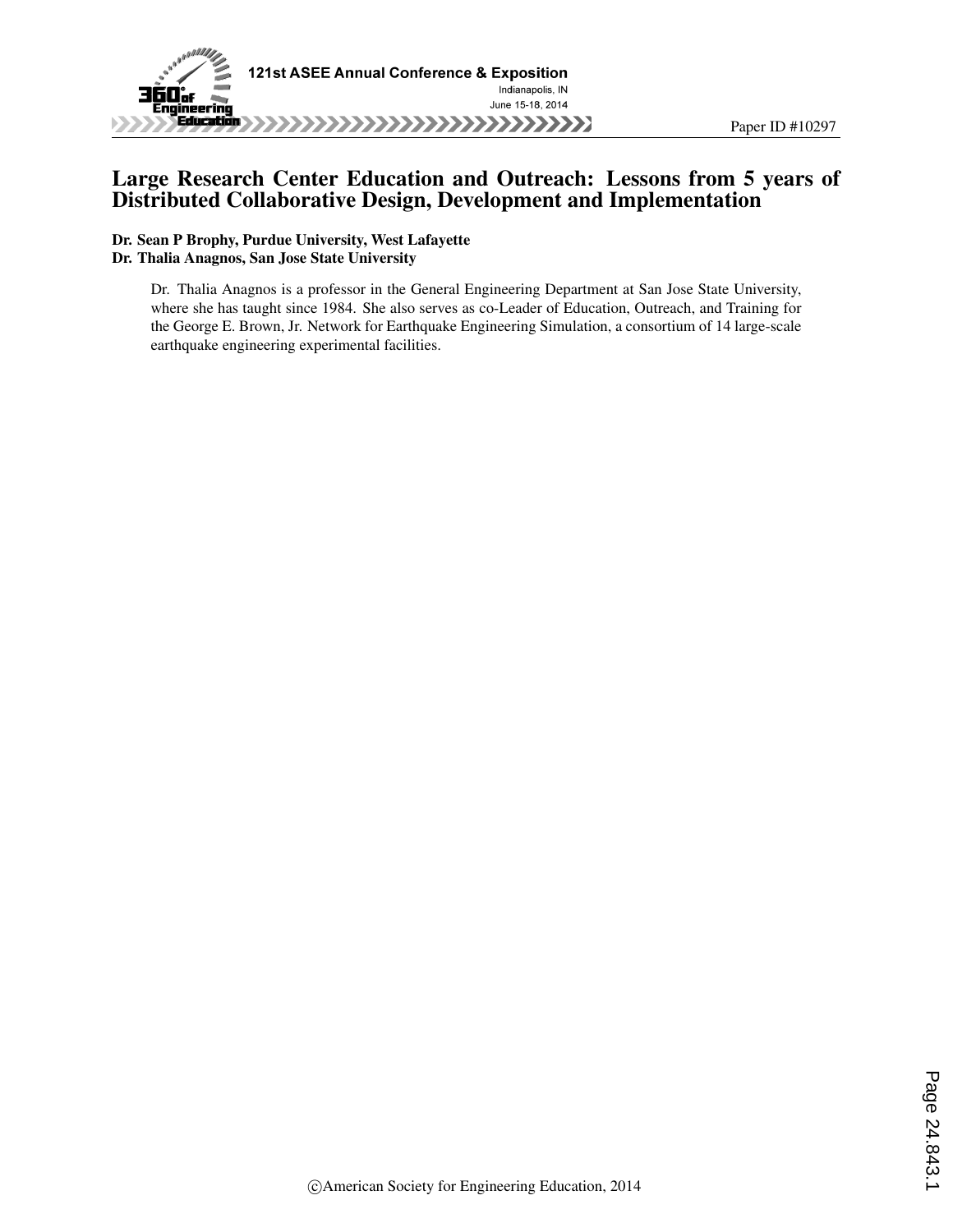

# Large Research Center Education and Outreach: Lessons from 5 years of Distributed Collaborative Design, Development and Implementation

#### Dr. Sean P Brophy, Purdue University, West Lafayette Dr. Thalia Anagnos, San Jose State University

Dr. Thalia Anagnos is a professor in the General Engineering Department at San Jose State University, where she has taught since 1984. She also serves as co-Leader of Education, Outreach, and Training for the George E. Brown, Jr. Network for Earthquake Engineering Simulation, a consortium of 14 large-scale earthquake engineering experimental facilities.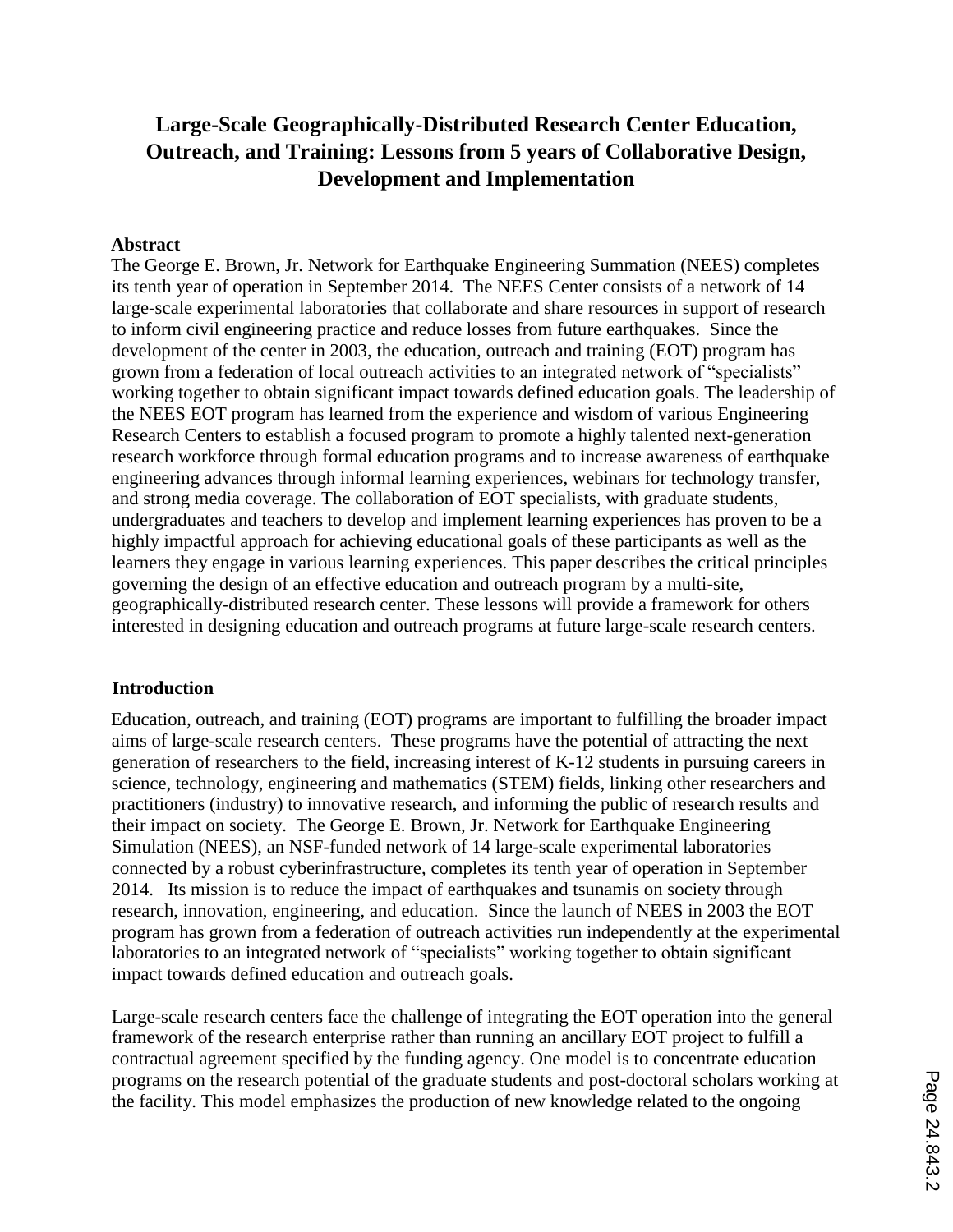# **Large-Scale Geographically-Distributed Research Center Education, Outreach, and Training: Lessons from 5 years of Collaborative Design, Development and Implementation**

### **Abstract**

The George E. Brown, Jr. Network for Earthquake Engineering Summation (NEES) completes its tenth year of operation in September 2014. The NEES Center consists of a network of 14 large-scale experimental laboratories that collaborate and share resources in support of research to inform civil engineering practice and reduce losses from future earthquakes. Since the development of the center in 2003, the education, outreach and training (EOT) program has grown from a federation of local outreach activities to an integrated network of "specialists" working together to obtain significant impact towards defined education goals. The leadership of the NEES EOT program has learned from the experience and wisdom of various Engineering Research Centers to establish a focused program to promote a highly talented next-generation research workforce through formal education programs and to increase awareness of earthquake engineering advances through informal learning experiences, webinars for technology transfer, and strong media coverage. The collaboration of EOT specialists, with graduate students, undergraduates and teachers to develop and implement learning experiences has proven to be a highly impactful approach for achieving educational goals of these participants as well as the learners they engage in various learning experiences. This paper describes the critical principles governing the design of an effective education and outreach program by a multi-site, geographically-distributed research center. These lessons will provide a framework for others interested in designing education and outreach programs at future large-scale research centers.

#### **Introduction**

Education, outreach, and training (EOT) programs are important to fulfilling the broader impact aims of large-scale research centers. These programs have the potential of attracting the next generation of researchers to the field, increasing interest of K-12 students in pursuing careers in science, technology, engineering and mathematics (STEM) fields, linking other researchers and practitioners (industry) to innovative research, and informing the public of research results and their impact on society. The George E. Brown, Jr. Network for Earthquake Engineering Simulation (NEES), an NSF-funded network of 14 large-scale experimental laboratories connected by a robust cyberinfrastructure, completes its tenth year of operation in September 2014. Its mission is to reduce the impact of earthquakes and tsunamis on society through research, innovation, engineering, and education. Since the launch of NEES in 2003 the EOT program has grown from a federation of outreach activities run independently at the experimental laboratories to an integrated network of "specialists" working together to obtain significant impact towards defined education and outreach goals.

Large-scale research centers face the challenge of integrating the EOT operation into the general framework of the research enterprise rather than running an ancillary EOT project to fulfill a contractual agreement specified by the funding agency. One model is to concentrate education programs on the research potential of the graduate students and post-doctoral scholars working at the facility. This model emphasizes the production of new knowledge related to the ongoing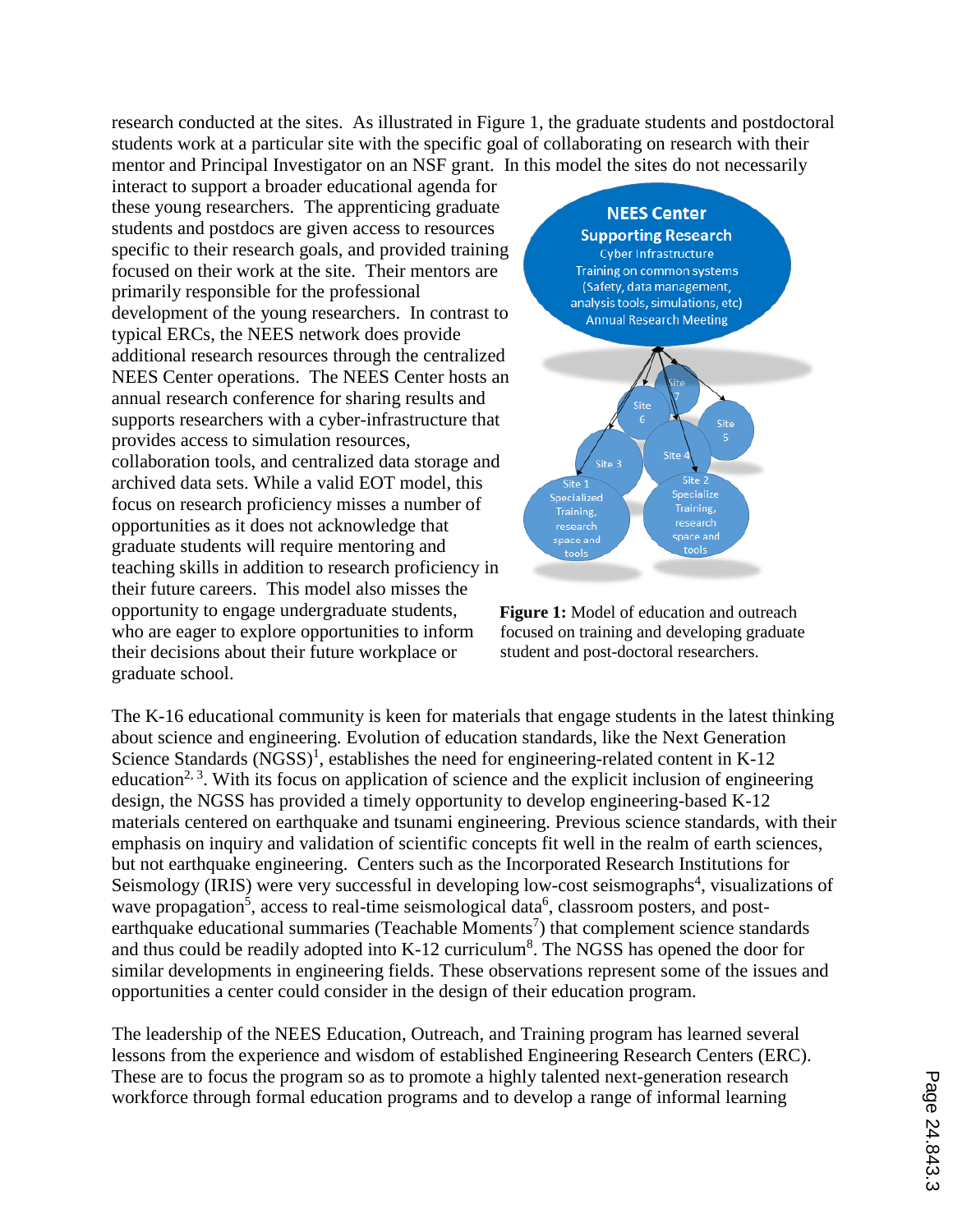research conducted at the sites. As illustrated in Figure 1, the graduate students and postdoctoral students work at a particular site with the specific goal of collaborating on research with their mentor and Principal Investigator on an NSF grant. In this model the sites do not necessarily

interact to support a broader educational agenda for these young researchers. The apprenticing graduate students and postdocs are given access to resources specific to their research goals, and provided training focused on their work at the site. Their mentors are primarily responsible for the professional development of the young researchers. In contrast to typical ERCs, the NEES network does provide additional research resources through the centralized NEES Center operations. The NEES Center hosts an annual research conference for sharing results and supports researchers with a cyber-infrastructure that provides access to simulation resources, collaboration tools, and centralized data storage and archived data sets. While a valid EOT model, this focus on research proficiency misses a number of opportunities as it does not acknowledge that graduate students will require mentoring and teaching skills in addition to research proficiency in their future careers. This model also misses the opportunity to engage undergraduate students, who are eager to explore opportunities to inform their decisions about their future workplace or graduate school.





The K-16 educational community is keen for materials that engage students in the latest thinking about science and engineering. Evolution of education standards, like the Next Generation Science Standards  $(NGSS)^1$ , establishes the need for engineering-related content in K-12 education<sup>2, 3</sup>. With its focus on application of science and the explicit inclusion of engineering design, the NGSS has provided a timely opportunity to develop engineering-based K-12 materials centered on earthquake and tsunami engineering. Previous science standards, with their emphasis on inquiry and validation of scientific concepts fit well in the realm of earth sciences, but not earthquake engineering. Centers such as the Incorporated Research Institutions for Seismology (IRIS) were very successful in developing low-cost seismographs<sup>4</sup>, visualizations of wave propagation<sup>5</sup>, access to real-time seismological data<sup>6</sup>, classroom posters, and postearthquake educational summaries (Teachable Moments<sup>7</sup>) that complement science standards and thus could be readily adopted into  $K-12$  curriculum<sup>8</sup>. The NGSS has opened the door for similar developments in engineering fields. These observations represent some of the issues and opportunities a center could consider in the design of their education program.

The leadership of the NEES Education, Outreach, and Training program has learned several lessons from the experience and wisdom of established Engineering Research Centers (ERC). These are to focus the program so as to promote a highly talented next-generation research workforce through formal education programs and to develop a range of informal learning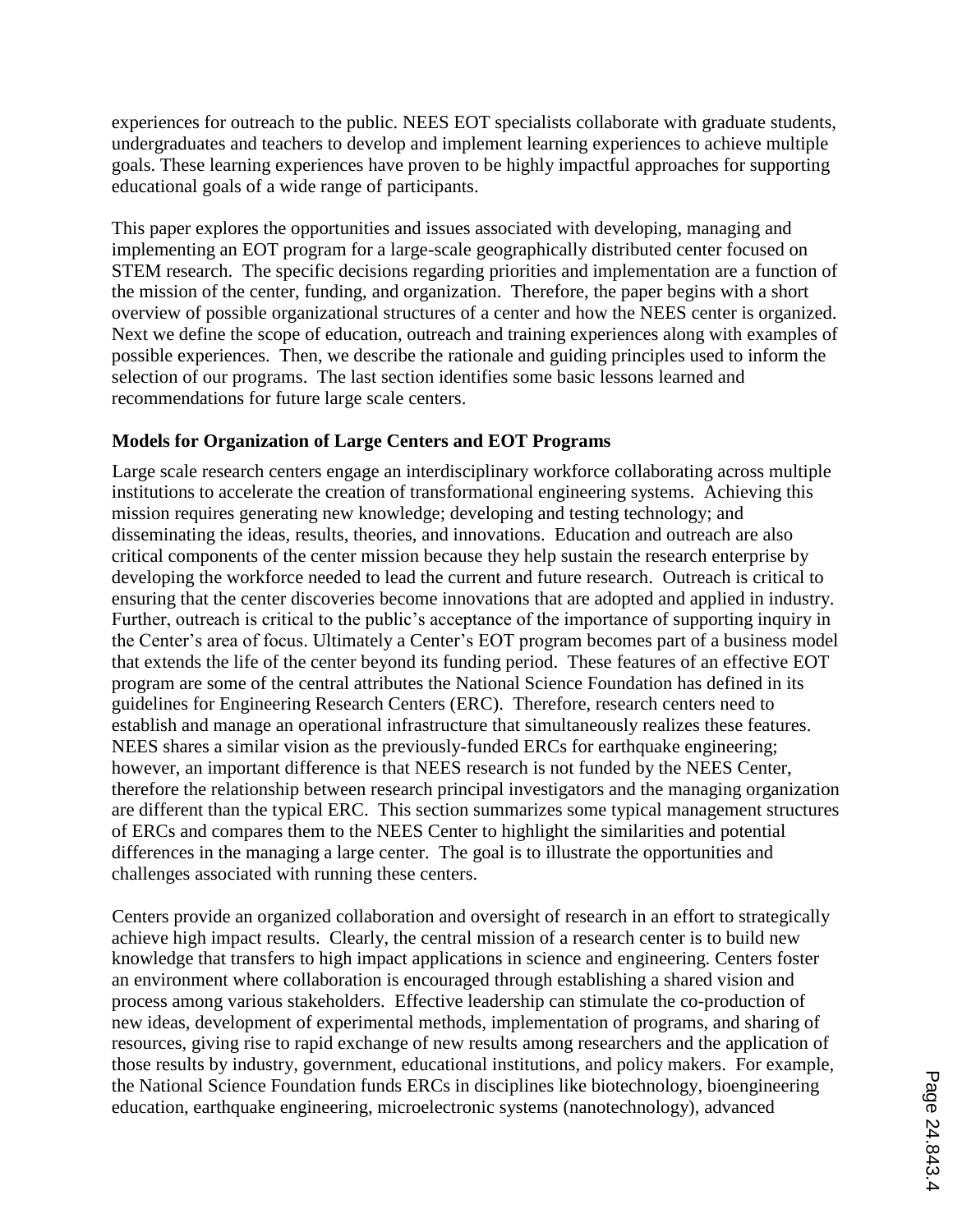experiences for outreach to the public. NEES EOT specialists collaborate with graduate students, undergraduates and teachers to develop and implement learning experiences to achieve multiple goals. These learning experiences have proven to be highly impactful approaches for supporting educational goals of a wide range of participants.

This paper explores the opportunities and issues associated with developing, managing and implementing an EOT program for a large-scale geographically distributed center focused on STEM research. The specific decisions regarding priorities and implementation are a function of the mission of the center, funding, and organization. Therefore, the paper begins with a short overview of possible organizational structures of a center and how the NEES center is organized. Next we define the scope of education, outreach and training experiences along with examples of possible experiences. Then, we describe the rationale and guiding principles used to inform the selection of our programs. The last section identifies some basic lessons learned and recommendations for future large scale centers.

# **Models for Organization of Large Centers and EOT Programs**

Large scale research centers engage an interdisciplinary workforce collaborating across multiple institutions to accelerate the creation of transformational engineering systems. Achieving this mission requires generating new knowledge; developing and testing technology; and disseminating the ideas, results, theories, and innovations. Education and outreach are also critical components of the center mission because they help sustain the research enterprise by developing the workforce needed to lead the current and future research. Outreach is critical to ensuring that the center discoveries become innovations that are adopted and applied in industry. Further, outreach is critical to the public's acceptance of the importance of supporting inquiry in the Center's area of focus. Ultimately a Center's EOT program becomes part of a business model that extends the life of the center beyond its funding period. These features of an effective EOT program are some of the central attributes the National Science Foundation has defined in its guidelines for Engineering Research Centers (ERC). Therefore, research centers need to establish and manage an operational infrastructure that simultaneously realizes these features. NEES shares a similar vision as the previously-funded ERCs for earthquake engineering; however, an important difference is that NEES research is not funded by the NEES Center, therefore the relationship between research principal investigators and the managing organization are different than the typical ERC. This section summarizes some typical management structures of ERCs and compares them to the NEES Center to highlight the similarities and potential differences in the managing a large center. The goal is to illustrate the opportunities and challenges associated with running these centers.

Centers provide an organized collaboration and oversight of research in an effort to strategically achieve high impact results. Clearly, the central mission of a research center is to build new knowledge that transfers to high impact applications in science and engineering. Centers foster an environment where collaboration is encouraged through establishing a shared vision and process among various stakeholders. Effective leadership can stimulate the co-production of new ideas, development of experimental methods, implementation of programs, and sharing of resources, giving rise to rapid exchange of new results among researchers and the application of those results by industry, government, educational institutions, and policy makers. For example, the National Science Foundation funds ERCs in disciplines like biotechnology, bioengineering education, earthquake engineering, microelectronic systems (nanotechnology), advanced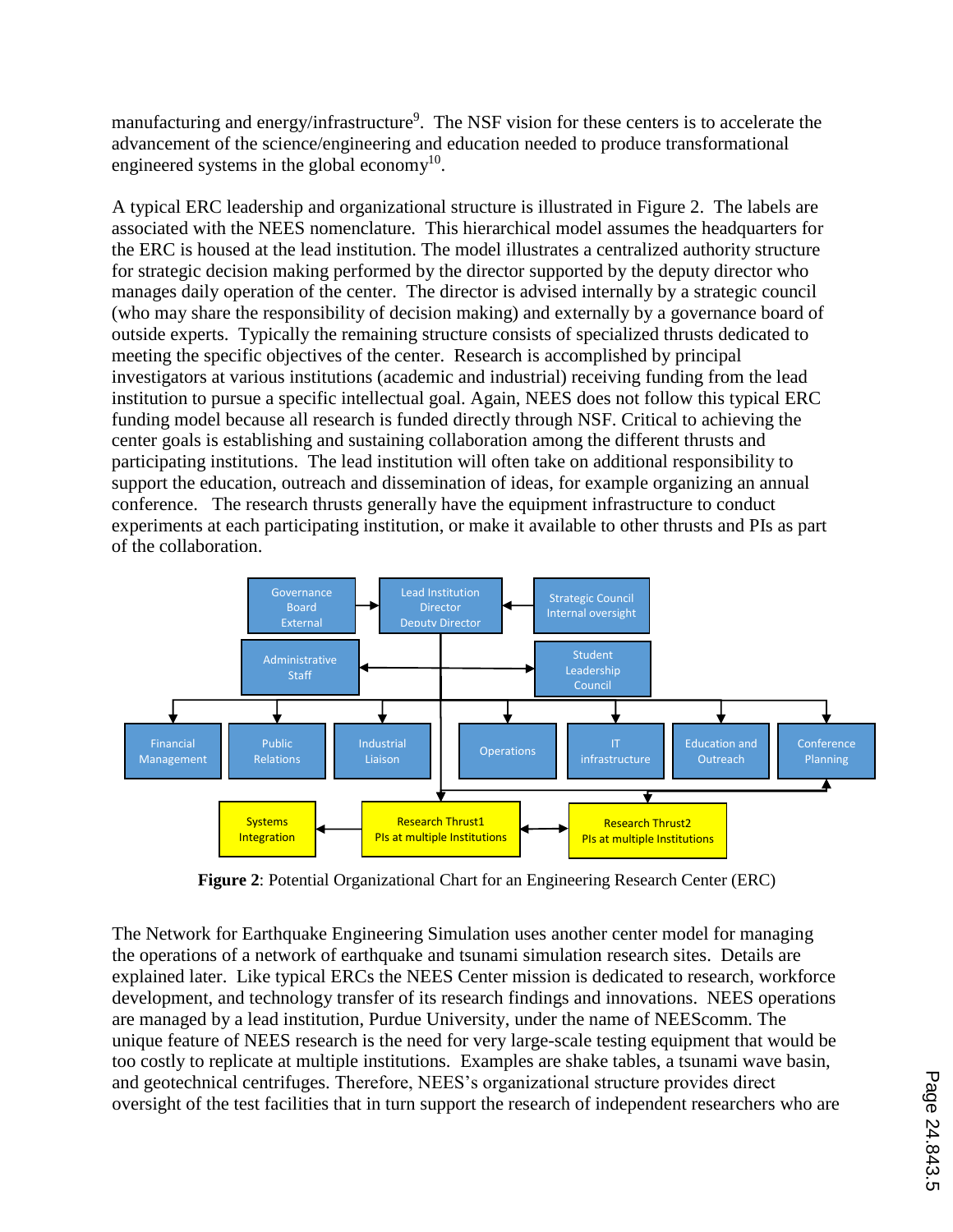manufacturing and energy/infrastructure<sup>9</sup>. The NSF vision for these centers is to accelerate the advancement of the science/engineering and education needed to produce transformational engineered systems in the global economy<sup>10</sup>.

A typical ERC leadership and organizational structure is illustrated in Figure 2. The labels are associated with the NEES nomenclature. This hierarchical model assumes the headquarters for the ERC is housed at the lead institution. The model illustrates a centralized authority structure for strategic decision making performed by the director supported by the deputy director who manages daily operation of the center. The director is advised internally by a strategic council (who may share the responsibility of decision making) and externally by a governance board of outside experts. Typically the remaining structure consists of specialized thrusts dedicated to meeting the specific objectives of the center. Research is accomplished by principal investigators at various institutions (academic and industrial) receiving funding from the lead institution to pursue a specific intellectual goal. Again, NEES does not follow this typical ERC funding model because all research is funded directly through NSF. Critical to achieving the center goals is establishing and sustaining collaboration among the different thrusts and participating institutions. The lead institution will often take on additional responsibility to support the education, outreach and dissemination of ideas, for example organizing an annual conference. The research thrusts generally have the equipment infrastructure to conduct experiments at each participating institution, or make it available to other thrusts and PIs as part of the collaboration.



**Figure 2**: Potential Organizational Chart for an Engineering Research Center (ERC)

The Network for Earthquake Engineering Simulation uses another center model for managing the operations of a network of earthquake and tsunami simulation research sites. Details are explained later. Like typical ERCs the NEES Center mission is dedicated to research, workforce development, and technology transfer of its research findings and innovations. NEES operations are managed by a lead institution, Purdue University, under the name of NEEScomm. The unique feature of NEES research is the need for very large-scale testing equipment that would be too costly to replicate at multiple institutions. Examples are shake tables, a tsunami wave basin, and geotechnical centrifuges. Therefore, NEES's organizational structure provides direct oversight of the test facilities that in turn support the research of independent researchers who are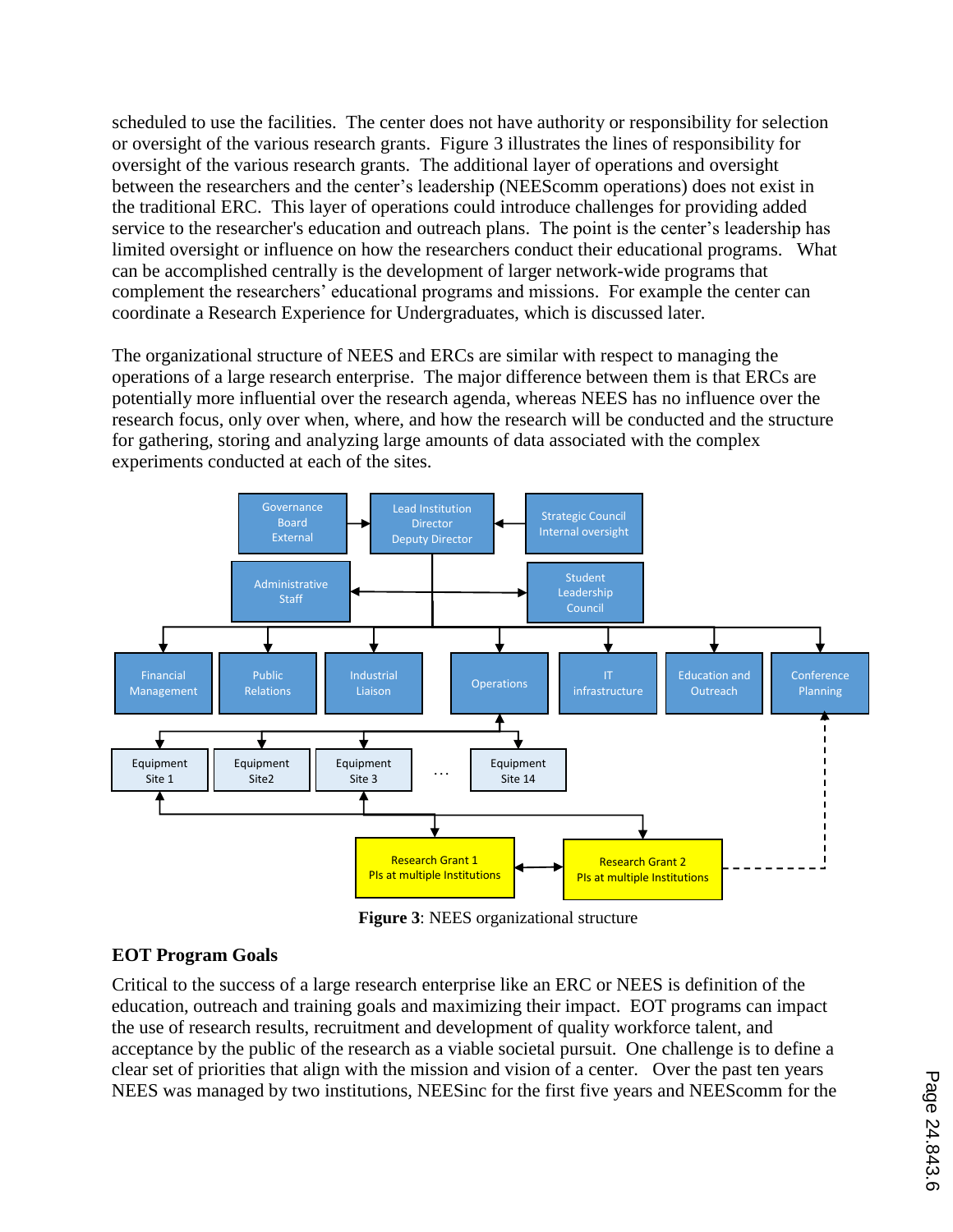scheduled to use the facilities. The center does not have authority or responsibility for selection or oversight of the various research grants. Figure 3 illustrates the lines of responsibility for oversight of the various research grants. The additional layer of operations and oversight between the researchers and the center's leadership (NEEScomm operations) does not exist in the traditional ERC. This layer of operations could introduce challenges for providing added service to the researcher's education and outreach plans. The point is the center's leadership has limited oversight or influence on how the researchers conduct their educational programs. What can be accomplished centrally is the development of larger network-wide programs that complement the researchers' educational programs and missions. For example the center can coordinate a Research Experience for Undergraduates, which is discussed later.

The organizational structure of NEES and ERCs are similar with respect to managing the operations of a large research enterprise. The major difference between them is that ERCs are potentially more influential over the research agenda, whereas NEES has no influence over the research focus, only over when, where, and how the research will be conducted and the structure for gathering, storing and analyzing large amounts of data associated with the complex experiments conducted at each of the sites.



**Figure 3**: NEES organizational structure

# **EOT Program Goals**

Critical to the success of a large research enterprise like an ERC or NEES is definition of the education, outreach and training goals and maximizing their impact. EOT programs can impact the use of research results, recruitment and development of quality workforce talent, and acceptance by the public of the research as a viable societal pursuit. One challenge is to define a clear set of priorities that align with the mission and vision of a center. Over the past ten years NEES was managed by two institutions, NEESinc for the first five years and NEEScomm for the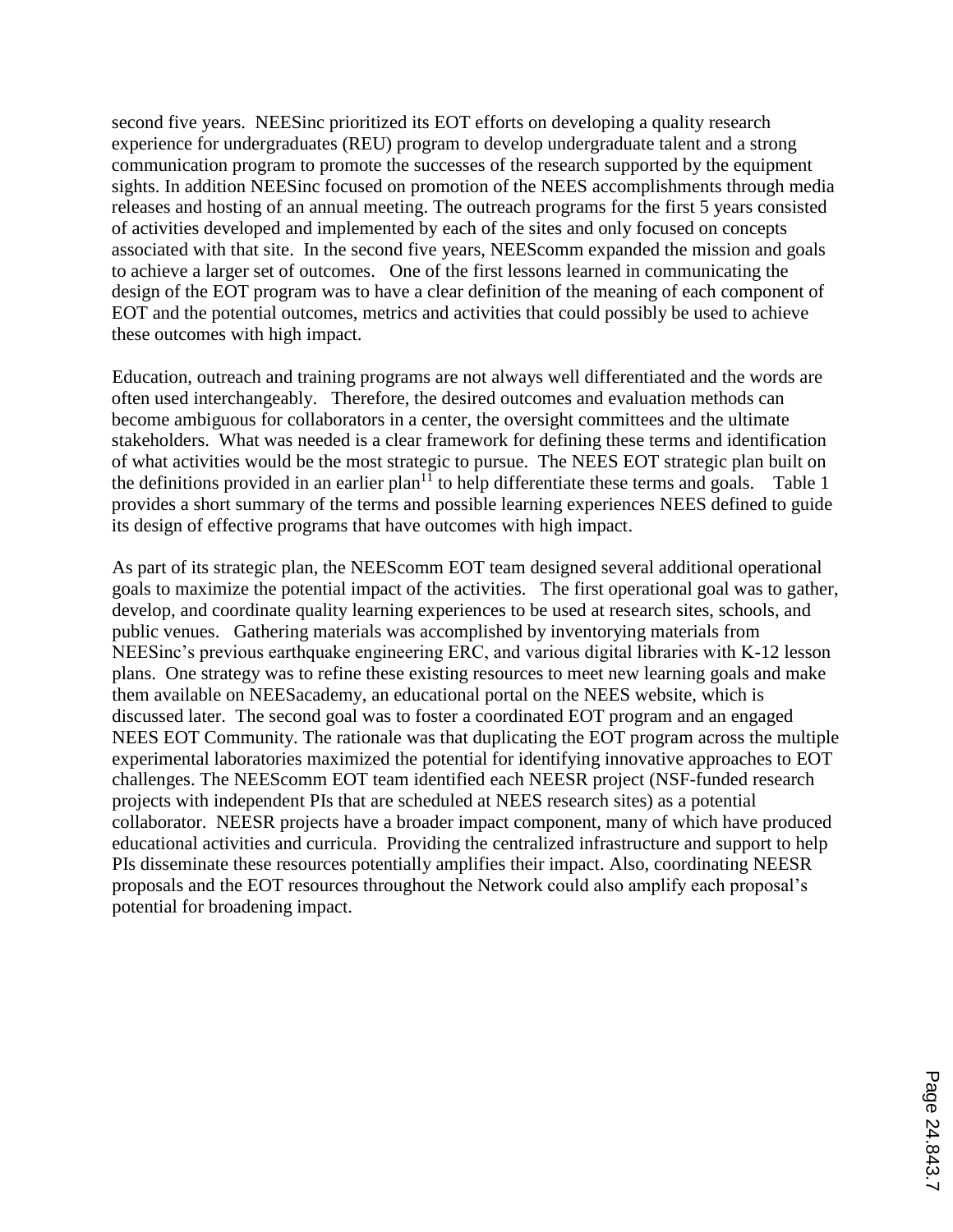second five years. NEESinc prioritized its EOT efforts on developing a quality research experience for undergraduates (REU) program to develop undergraduate talent and a strong communication program to promote the successes of the research supported by the equipment sights. In addition NEESinc focused on promotion of the NEES accomplishments through media releases and hosting of an annual meeting. The outreach programs for the first 5 years consisted of activities developed and implemented by each of the sites and only focused on concepts associated with that site. In the second five years, NEEScomm expanded the mission and goals to achieve a larger set of outcomes. One of the first lessons learned in communicating the design of the EOT program was to have a clear definition of the meaning of each component of EOT and the potential outcomes, metrics and activities that could possibly be used to achieve these outcomes with high impact.

Education, outreach and training programs are not always well differentiated and the words are often used interchangeably. Therefore, the desired outcomes and evaluation methods can become ambiguous for collaborators in a center, the oversight committees and the ultimate stakeholders. What was needed is a clear framework for defining these terms and identification of what activities would be the most strategic to pursue. The NEES EOT strategic plan built on the definitions provided in an earlier plan<sup>11</sup> to help differentiate these terms and goals. Table 1 provides a short summary of the terms and possible learning experiences NEES defined to guide its design of effective programs that have outcomes with high impact.

As part of its strategic plan, the NEEScomm EOT team designed several additional operational goals to maximize the potential impact of the activities. The first operational goal was to gather, develop, and coordinate quality learning experiences to be used at research sites, schools, and public venues. Gathering materials was accomplished by inventorying materials from NEESinc's previous earthquake engineering ERC, and various digital libraries with K-12 lesson plans. One strategy was to refine these existing resources to meet new learning goals and make them available on NEESacademy, an educational portal on the NEES website, which is discussed later. The second goal was to foster a coordinated EOT program and an engaged NEES EOT Community. The rationale was that duplicating the EOT program across the multiple experimental laboratories maximized the potential for identifying innovative approaches to EOT challenges. The NEEScomm EOT team identified each NEESR project (NSF-funded research projects with independent PIs that are scheduled at NEES research sites) as a potential collaborator. NEESR projects have a broader impact component, many of which have produced educational activities and curricula. Providing the centralized infrastructure and support to help PIs disseminate these resources potentially amplifies their impact. Also, coordinating NEESR proposals and the EOT resources throughout the Network could also amplify each proposal's potential for broadening impact.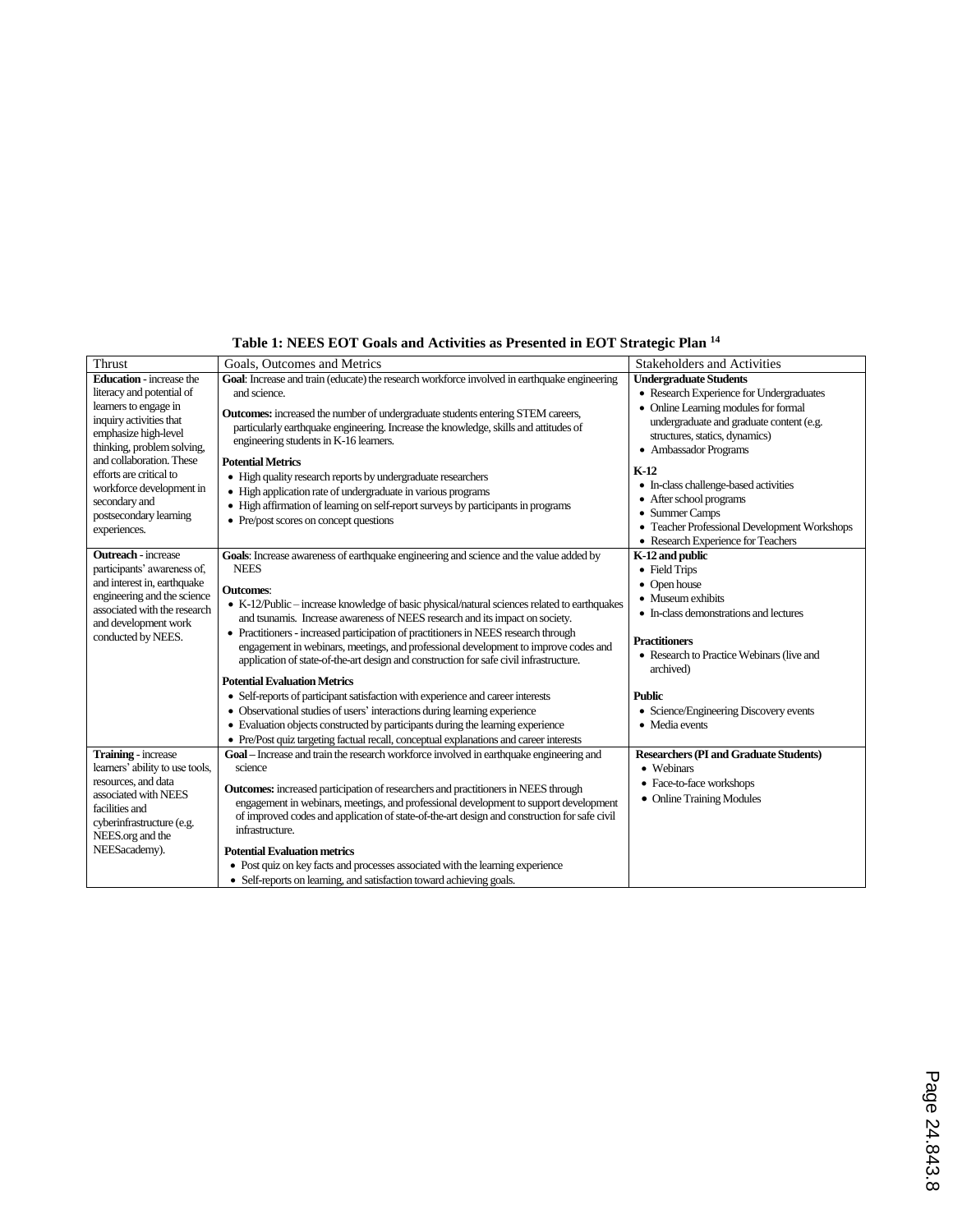| Table 1: NEES EOT Goals and Activities as Presented in EOT Strategic Plan <sup>14</sup> |
|-----------------------------------------------------------------------------------------|
|-----------------------------------------------------------------------------------------|

| Thrust                          | Goals, Outcomes and Metrics                                                                                                                                                           | <b>Stakeholders and Activities</b>            |
|---------------------------------|---------------------------------------------------------------------------------------------------------------------------------------------------------------------------------------|-----------------------------------------------|
| <b>Education</b> - increase the | Goal: Increase and train (educate) the research workforce involved in earthquake engineering                                                                                          | <b>Undergraduate Students</b>                 |
| literacy and potential of       | and science.                                                                                                                                                                          | • Research Experience for Undergraduates      |
| learners to engage in           | <b>Outcomes:</b> increased the number of undergraduate students entering STEM careers,                                                                                                | • Online Learning modules for formal          |
| inquiry activities that         | particularly earthquake engineering. Increase the knowledge, skills and attitudes of                                                                                                  | undergraduate and graduate content (e.g.      |
| emphasize high-level            | engineering students in K-16 learners.                                                                                                                                                | structures, statics, dynamics)                |
| thinking, problem solving,      |                                                                                                                                                                                       | • Ambassador Programs                         |
| and collaboration. These        | <b>Potential Metrics</b>                                                                                                                                                              | $K-12$                                        |
| efforts are critical to         | • High quality research reports by undergraduate researchers                                                                                                                          | • In-class challenge-based activities         |
| workforce development in        | • High application rate of undergraduate in various programs                                                                                                                          | • After school programs                       |
| secondary and                   | • High affirmation of learning on self-report surveys by participants in programs                                                                                                     | • Summer Camps                                |
| postsecondary learning          | • Pre/post scores on concept questions                                                                                                                                                | • Teacher Professional Development Workshops  |
| experiences.                    |                                                                                                                                                                                       | • Research Experience for Teachers            |
| <b>Outreach</b> - increase      | Goals: Increase awareness of earthquake engineering and science and the value added by                                                                                                | K-12 and public                               |
| participants' awareness of,     | <b>NEES</b>                                                                                                                                                                           | • Field Trips                                 |
| and interest in, earthquake     |                                                                                                                                                                                       | • Open house                                  |
| engineering and the science     | <b>Outcomes:</b>                                                                                                                                                                      | • Museum exhibits                             |
| associated with the research    | • K-12/Public - increase knowledge of basic physical/natural sciences related to earthquakes                                                                                          | • In-class demonstrations and lectures        |
| and development work            | and tsunamis. Increase awareness of NEES research and its impact on society.                                                                                                          |                                               |
| conducted by NEES.              | • Practitioners - increased participation of practitioners in NEES research through                                                                                                   | <b>Practitioners</b>                          |
|                                 | engagement in webinars, meetings, and professional development to improve codes and                                                                                                   | • Research to Practice Webinars (live and     |
|                                 | application of state-of-the-art design and construction for safe civil infrastructure.                                                                                                | archived)                                     |
|                                 | <b>Potential Evaluation Metrics</b>                                                                                                                                                   |                                               |
|                                 | • Self-reports of participant satisfaction with experience and career interests                                                                                                       | <b>Public</b>                                 |
|                                 | • Observational studies of users' interactions during learning experience                                                                                                             | • Science/Engineering Discovery events        |
|                                 | • Evaluation objects constructed by participants during the learning experience                                                                                                       | • Media events                                |
|                                 | • Pre/Post quiz targeting factual recall, conceptual explanations and career interests                                                                                                |                                               |
| Training - increase             | Goal - Increase and train the research workforce involved in earthquake engineering and                                                                                               | <b>Researchers (PI and Graduate Students)</b> |
| learners' ability to use tools, | science                                                                                                                                                                               | • Webinars                                    |
| resources, and data             |                                                                                                                                                                                       | • Face-to-face workshops                      |
| associated with NEES            | <b>Outcomes:</b> increased participation of researchers and practitioners in NEES through                                                                                             | • Online Training Modules                     |
| facilities and                  | engagement in webinars, meetings, and professional development to support development<br>of improved codes and application of state-of-the-art design and construction for safe civil |                                               |
| cyberinfrastructure (e.g.       | infrastructure.                                                                                                                                                                       |                                               |
| NEES.org and the                |                                                                                                                                                                                       |                                               |
| NEESacademy).                   | <b>Potential Evaluation metrics</b>                                                                                                                                                   |                                               |
|                                 | • Post quiz on key facts and processes associated with the learning experience                                                                                                        |                                               |
|                                 | • Self-reports on learning, and satisfaction toward achieving goals.                                                                                                                  |                                               |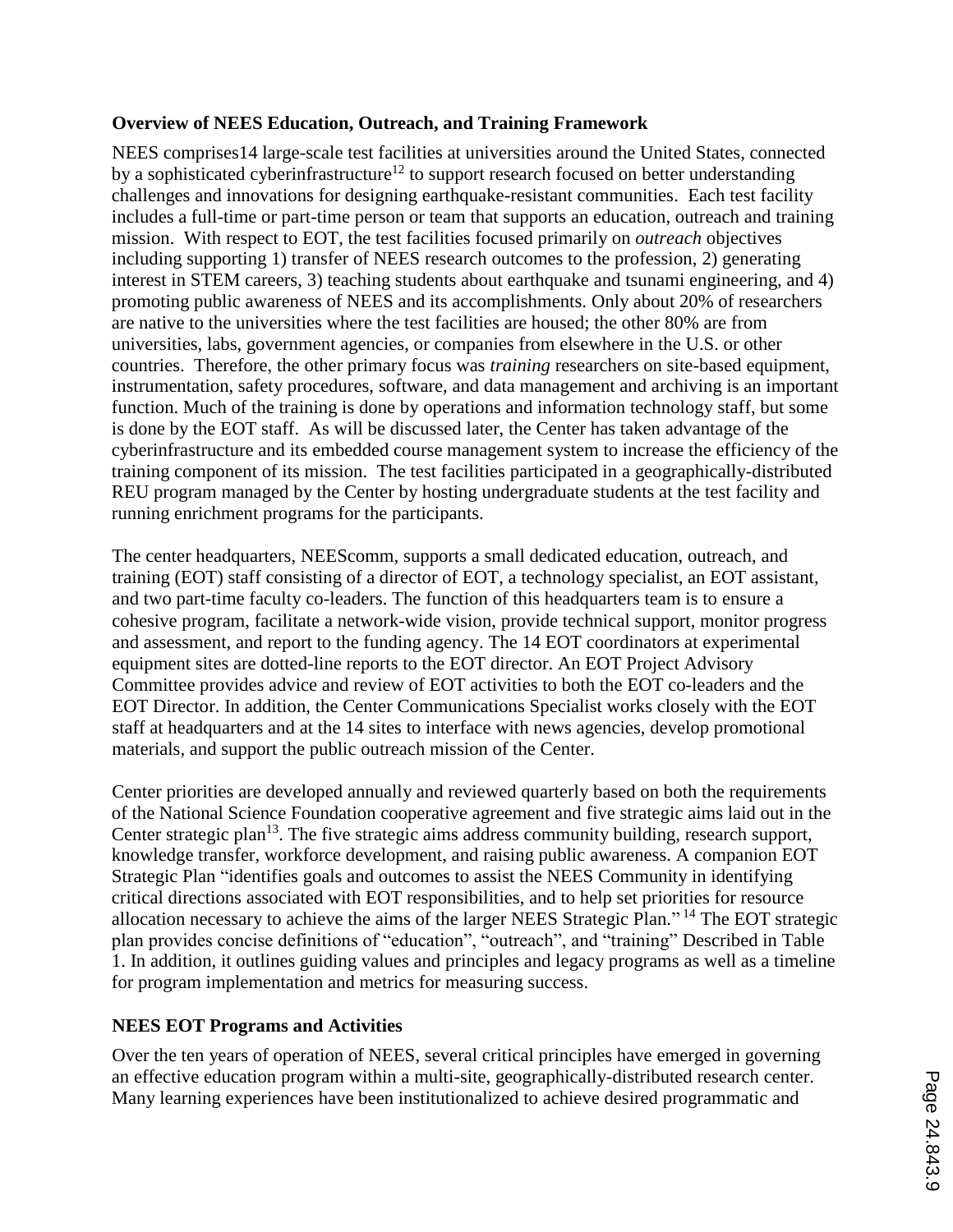# **Overview of NEES Education, Outreach, and Training Framework**

NEES comprises14 large-scale test facilities at universities around the United States, connected by a sophisticated cyberinfrastructure<sup>12</sup> to support research focused on better understanding challenges and innovations for designing earthquake-resistant communities. Each test facility includes a full-time or part-time person or team that supports an education, outreach and training mission. With respect to EOT, the test facilities focused primarily on *outreach* objectives including supporting 1) transfer of NEES research outcomes to the profession, 2) generating interest in STEM careers, 3) teaching students about earthquake and tsunami engineering, and 4) promoting public awareness of NEES and its accomplishments. Only about 20% of researchers are native to the universities where the test facilities are housed; the other 80% are from universities, labs, government agencies, or companies from elsewhere in the U.S. or other countries. Therefore, the other primary focus was *training* researchers on site-based equipment, instrumentation, safety procedures, software, and data management and archiving is an important function. Much of the training is done by operations and information technology staff, but some is done by the EOT staff. As will be discussed later, the Center has taken advantage of the cyberinfrastructure and its embedded course management system to increase the efficiency of the training component of its mission. The test facilities participated in a geographically-distributed REU program managed by the Center by hosting undergraduate students at the test facility and running enrichment programs for the participants.

The center headquarters, NEEScomm, supports a small dedicated education, outreach, and training (EOT) staff consisting of a director of EOT, a technology specialist, an EOT assistant, and two part-time faculty co-leaders. The function of this headquarters team is to ensure a cohesive program, facilitate a network-wide vision, provide technical support, monitor progress and assessment, and report to the funding agency. The 14 EOT coordinators at experimental equipment sites are dotted-line reports to the EOT director. An EOT Project Advisory Committee provides advice and review of EOT activities to both the EOT co-leaders and the EOT Director. In addition, the Center Communications Specialist works closely with the EOT staff at headquarters and at the 14 sites to interface with news agencies, develop promotional materials, and support the public outreach mission of the Center.

Center priorities are developed annually and reviewed quarterly based on both the requirements of the National Science Foundation cooperative agreement and five strategic aims laid out in the Center strategic plan<sup>13</sup>. The five strategic aims address community building, research support, knowledge transfer, workforce development, and raising public awareness. A companion EOT Strategic Plan "identifies goals and outcomes to assist the NEES Community in identifying critical directions associated with EOT responsibilities, and to help set priorities for resource allocation necessary to achieve the aims of the larger NEES Strategic Plan." <sup>14</sup> The EOT strategic plan provides concise definitions of "education", "outreach", and "training" Described in Table 1. In addition, it outlines guiding values and principles and legacy programs as well as a timeline for program implementation and metrics for measuring success.

# **NEES EOT Programs and Activities**

Over the ten years of operation of NEES, several critical principles have emerged in governing an effective education program within a multi-site, geographically-distributed research center. Many learning experiences have been institutionalized to achieve desired programmatic and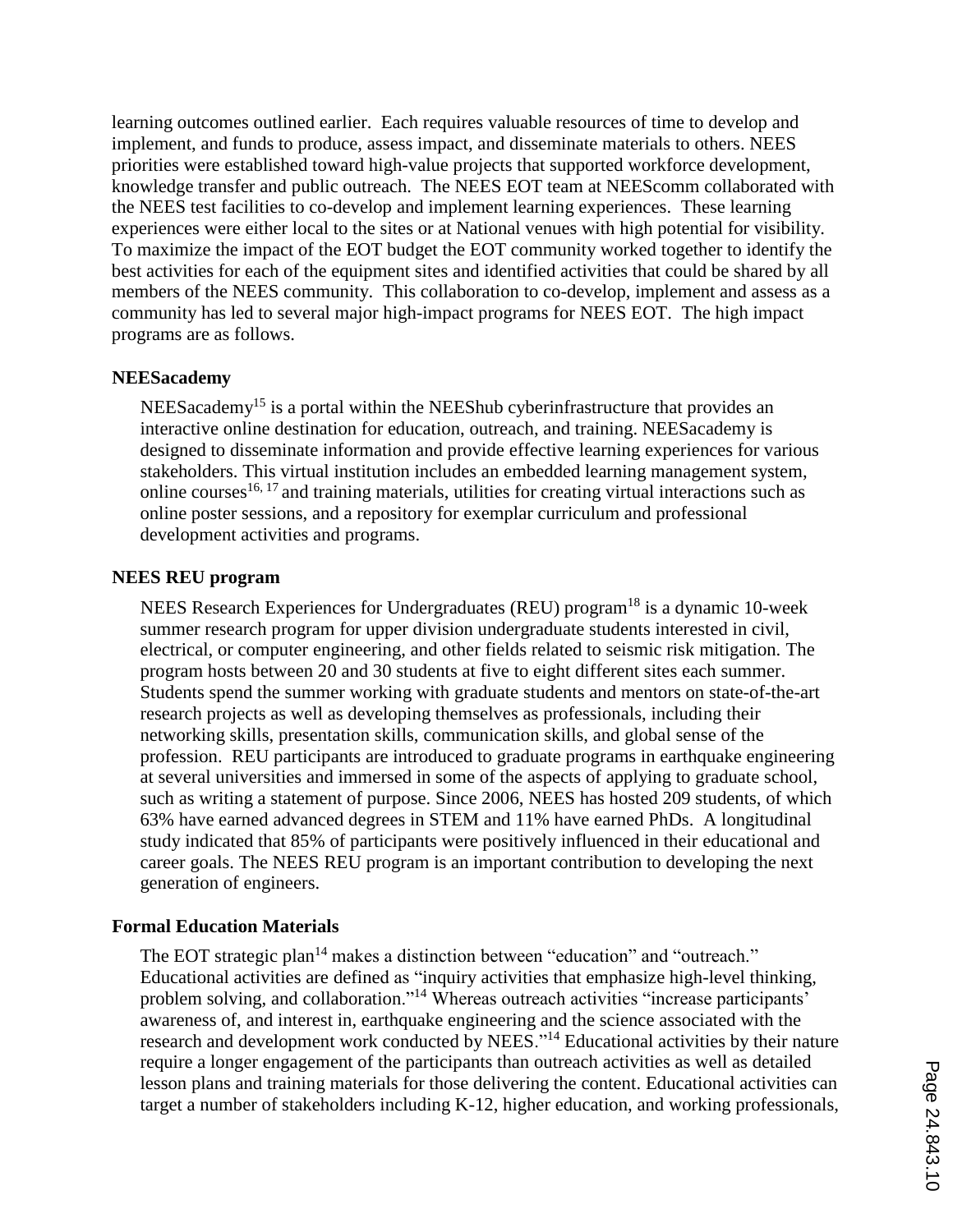learning outcomes outlined earlier. Each requires valuable resources of time to develop and implement, and funds to produce, assess impact, and disseminate materials to others. NEES priorities were established toward high-value projects that supported workforce development, knowledge transfer and public outreach. The NEES EOT team at NEEScomm collaborated with the NEES test facilities to co-develop and implement learning experiences. These learning experiences were either local to the sites or at National venues with high potential for visibility. To maximize the impact of the EOT budget the EOT community worked together to identify the best activities for each of the equipment sites and identified activities that could be shared by all members of the NEES community. This collaboration to co-develop, implement and assess as a community has led to several major high-impact programs for NEES EOT. The high impact programs are as follows.

#### **NEESacademy**

 $NEES$ academy<sup>15</sup> is a portal within the NEEShub cyberinfrastructure that provides an interactive online destination for education, outreach, and training. NEESacademy is designed to disseminate information and provide effective learning experiences for various stakeholders. This virtual institution includes an embedded learning management system, online courses  $16, 17$  and training materials, utilities for creating virtual interactions such as online poster sessions, and a repository for exemplar curriculum and professional development activities and programs.

#### **NEES REU program**

NEES Research Experiences for Undergraduates (REU) program<sup>18</sup> is a dynamic 10-week summer research program for upper division undergraduate students interested in civil, electrical, or computer engineering, and other fields related to seismic risk mitigation. The program hosts between 20 and 30 students at five to eight different sites each summer. Students spend the summer working with graduate students and mentors on state-of-the-art research projects as well as developing themselves as professionals, including their networking skills, presentation skills, communication skills, and global sense of the profession. REU participants are introduced to graduate programs in earthquake engineering at several universities and immersed in some of the aspects of applying to graduate school, such as writing a statement of purpose. Since 2006, NEES has hosted 209 students, of which 63% have earned advanced degrees in STEM and 11% have earned PhDs. A longitudinal study indicated that 85% of participants were positively influenced in their educational and career goals. The NEES REU program is an important contribution to developing the next generation of engineers.

#### **Formal Education Materials**

The EOT strategic plan<sup>14</sup> makes a distinction between "education" and "outreach." Educational activities are defined as "inquiry activities that emphasize high-level thinking, problem solving, and collaboration."<sup>14</sup> Whereas outreach activities "increase participants' awareness of, and interest in, earthquake engineering and the science associated with the research and development work conducted by NEES."<sup>14</sup> Educational activities by their nature require a longer engagement of the participants than outreach activities as well as detailed lesson plans and training materials for those delivering the content. Educational activities can target a number of stakeholders including K-12, higher education, and working professionals,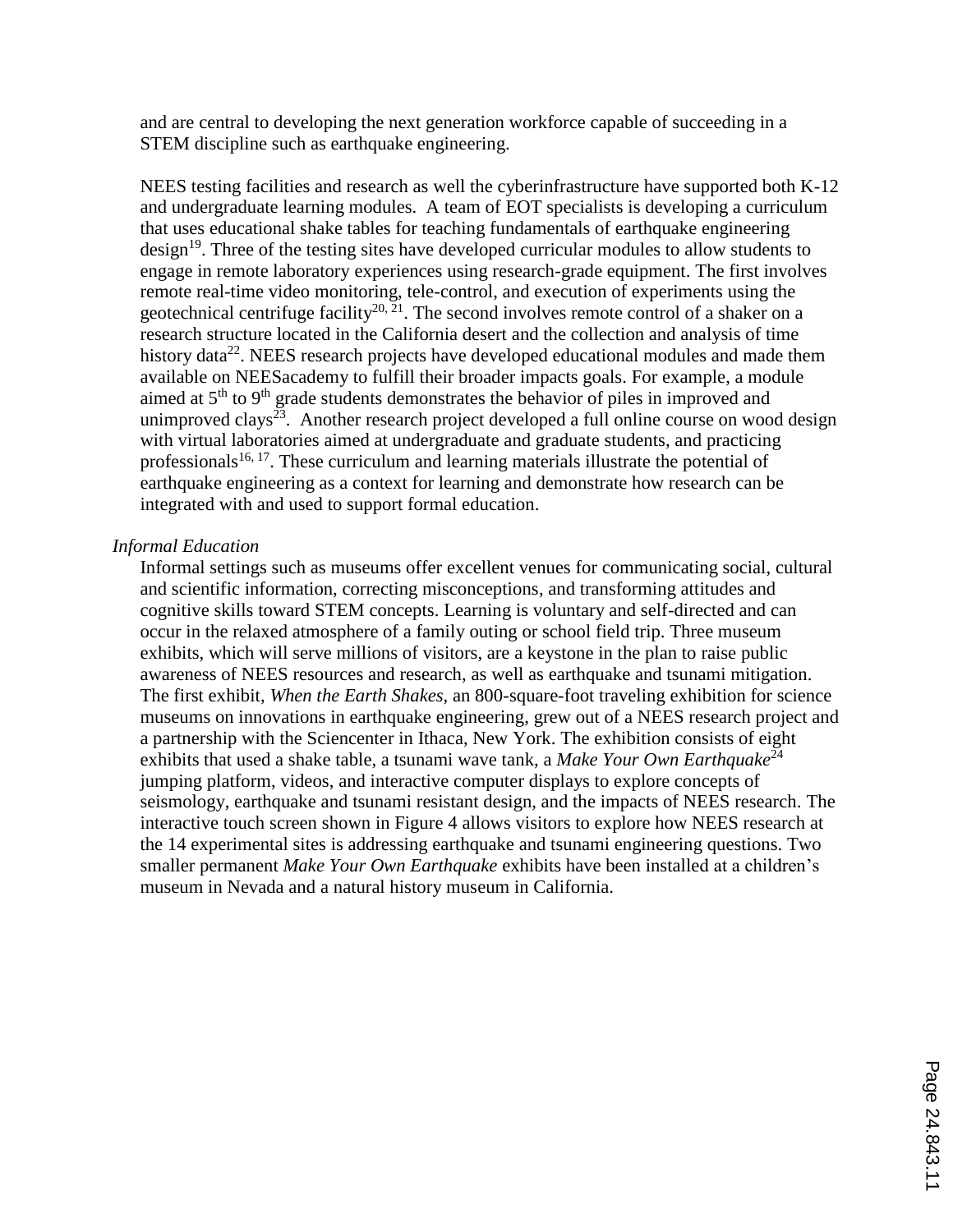and are central to developing the next generation workforce capable of succeeding in a STEM discipline such as earthquake engineering.

NEES testing facilities and research as well the cyberinfrastructure have supported both K-12 and undergraduate learning modules. A team of EOT specialists is developing a curriculum that uses educational shake tables for teaching fundamentals of earthquake engineering design<sup>19</sup>. Three of the testing sites have developed curricular modules to allow students to engage in remote laboratory experiences using research-grade equipment. The first involves remote real-time video monitoring, tele-control, and execution of experiments using the geotechnical centrifuge facility<sup>20, 21</sup>. The second involves remote control of a shaker on a research structure located in the California desert and the collection and analysis of time history data<sup>22</sup>. NEES research projects have developed educational modules and made them available on NEESacademy to fulfill their broader impacts goals. For example, a module aimed at 5<sup>th</sup> to 9<sup>th</sup> grade students demonstrates the behavior of piles in improved and unimproved clays<sup>23</sup>. Another research project developed a full online course on wood design with virtual laboratories aimed at undergraduate and graduate students, and practicing professionals<sup>16, 17</sup>. These curriculum and learning materials illustrate the potential of earthquake engineering as a context for learning and demonstrate how research can be integrated with and used to support formal education.

#### *Informal Education*

Informal settings such as museums offer excellent venues for communicating social, cultural and scientific information, correcting misconceptions, and transforming attitudes and cognitive skills toward STEM concepts. Learning is voluntary and self-directed and can occur in the relaxed atmosphere of a family outing or school field trip. Three museum exhibits, which will serve millions of visitors, are a keystone in the plan to raise public awareness of NEES resources and research, as well as earthquake and tsunami mitigation. The first exhibit, *When the Earth Shakes*, an 800-square-foot traveling exhibition for science museums on innovations in earthquake engineering, grew out of a NEES research project and a partnership with the Sciencenter in Ithaca, New York. The exhibition consists of eight exhibits that used a shake table, a tsunami wave tank, a *Make Your Own Earthquake*<sup>24</sup> jumping platform, videos, and interactive computer displays to explore concepts of seismology, earthquake and tsunami resistant design, and the impacts of NEES research. The interactive touch screen shown in Figure 4 allows visitors to explore how NEES research at the 14 experimental sites is addressing earthquake and tsunami engineering questions. Two smaller permanent *Make Your Own Earthquake* exhibits have been installed at a children's museum in Nevada and a natural history museum in California.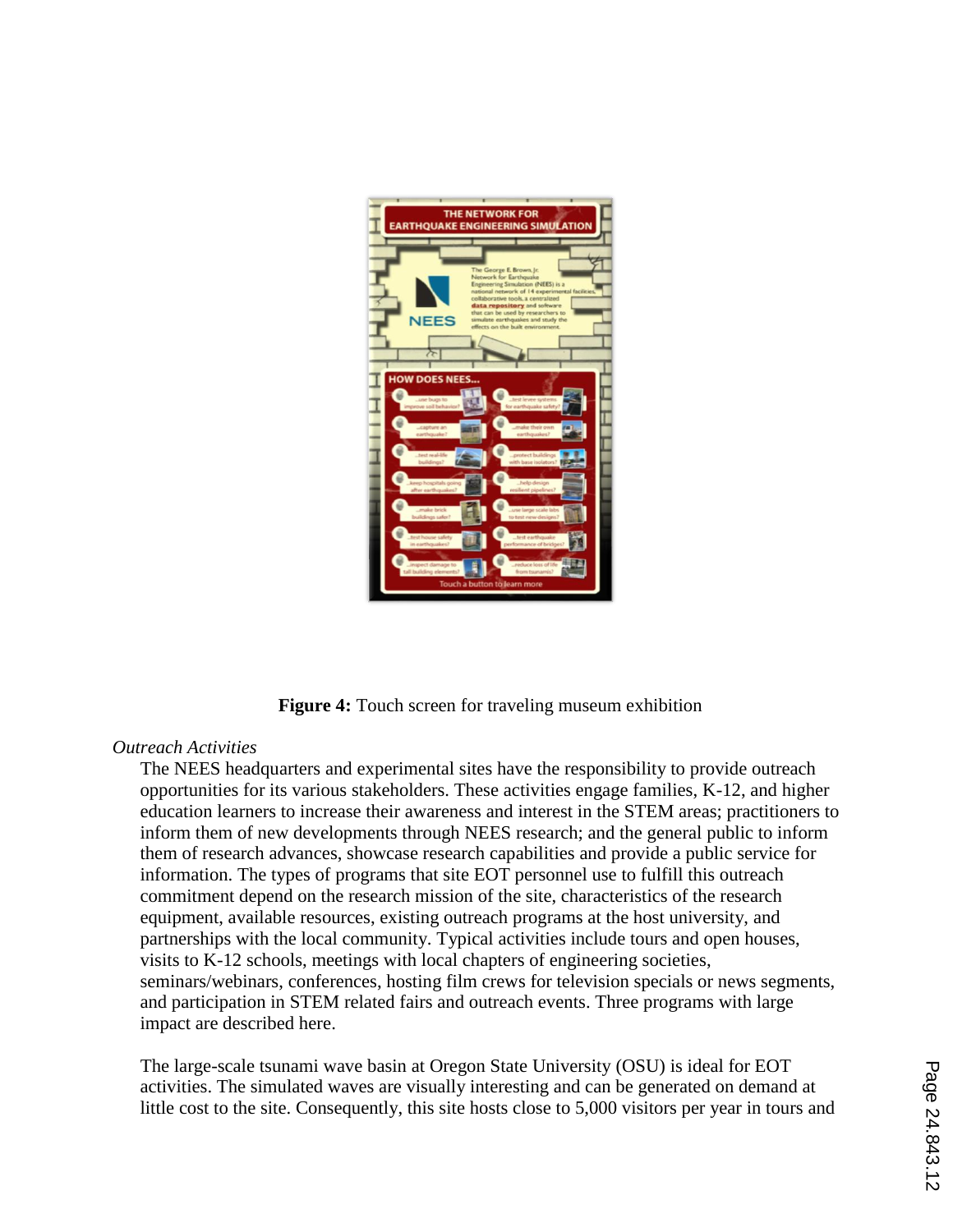

**Figure 4:** Touch screen for traveling museum exhibition

# *Outreach Activities*

The NEES headquarters and experimental sites have the responsibility to provide outreach opportunities for its various stakeholders. These activities engage families, K-12, and higher education learners to increase their awareness and interest in the STEM areas; practitioners to inform them of new developments through NEES research; and the general public to inform them of research advances, showcase research capabilities and provide a public service for information. The types of programs that site EOT personnel use to fulfill this outreach commitment depend on the research mission of the site, characteristics of the research equipment, available resources, existing outreach programs at the host university, and partnerships with the local community. Typical activities include tours and open houses, visits to K-12 schools, meetings with local chapters of engineering societies, seminars/webinars, conferences, hosting film crews for television specials or news segments, and participation in STEM related fairs and outreach events. Three programs with large impact are described here.

The large-scale tsunami wave basin at Oregon State University (OSU) is ideal for EOT activities. The simulated waves are visually interesting and can be generated on demand at little cost to the site. Consequently, this site hosts close to 5,000 visitors per year in tours and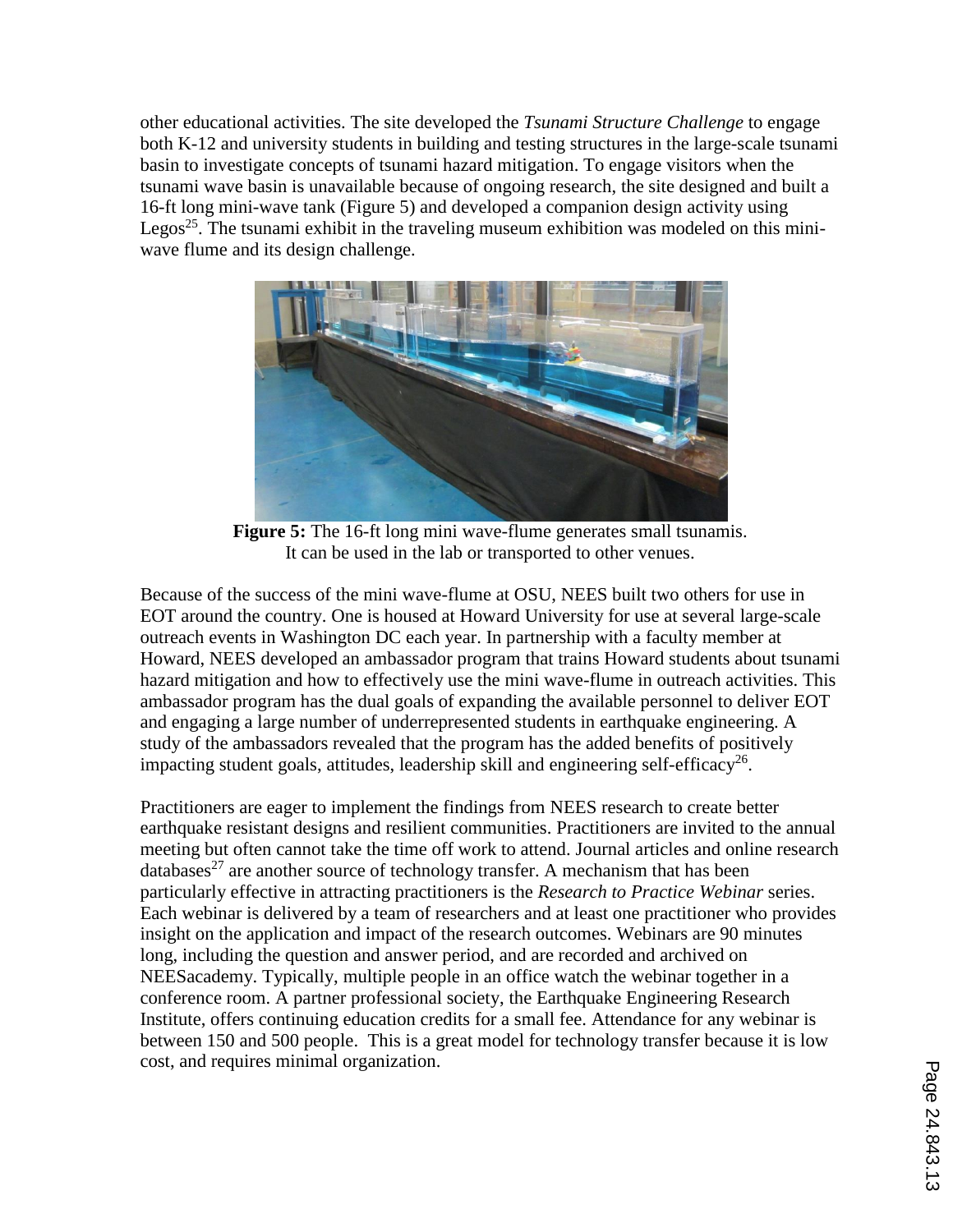other educational activities. The site developed the *Tsunami Structure Challenge* to engage both K-12 and university students in building and testing structures in the large-scale tsunami basin to investigate concepts of tsunami hazard mitigation. To engage visitors when the tsunami wave basin is unavailable because of ongoing research, the site designed and built a 16-ft long mini-wave tank (Figure 5) and developed a companion design activity using Legos<sup>25</sup>. The tsunami exhibit in the traveling museum exhibition was modeled on this miniwave flume and its design challenge.



**Figure 5:** The 16-ft long mini wave-flume generates small tsunamis. It can be used in the lab or transported to other venues.

Because of the success of the mini wave-flume at OSU, NEES built two others for use in EOT around the country. One is housed at Howard University for use at several large-scale outreach events in Washington DC each year. In partnership with a faculty member at Howard, NEES developed an ambassador program that trains Howard students about tsunami hazard mitigation and how to effectively use the mini wave-flume in outreach activities. This ambassador program has the dual goals of expanding the available personnel to deliver EOT and engaging a large number of underrepresented students in earthquake engineering. A study of the ambassadors revealed that the program has the added benefits of positively impacting student goals, attitudes, leadership skill and engineering self-efficacy<sup>26</sup>.

Practitioners are eager to implement the findings from NEES research to create better earthquake resistant designs and resilient communities. Practitioners are invited to the annual meeting but often cannot take the time off work to attend. Journal articles and online research databases<sup>27</sup> are another source of technology transfer. A mechanism that has been particularly effective in attracting practitioners is the *Research to Practice Webinar* series. Each webinar is delivered by a team of researchers and at least one practitioner who provides insight on the application and impact of the research outcomes. Webinars are 90 minutes long, including the question and answer period, and are recorded and archived on NEESacademy. Typically, multiple people in an office watch the webinar together in a conference room. A partner professional society, the Earthquake Engineering Research Institute, offers continuing education credits for a small fee. Attendance for any webinar is between 150 and 500 people. This is a great model for technology transfer because it is low cost, and requires minimal organization.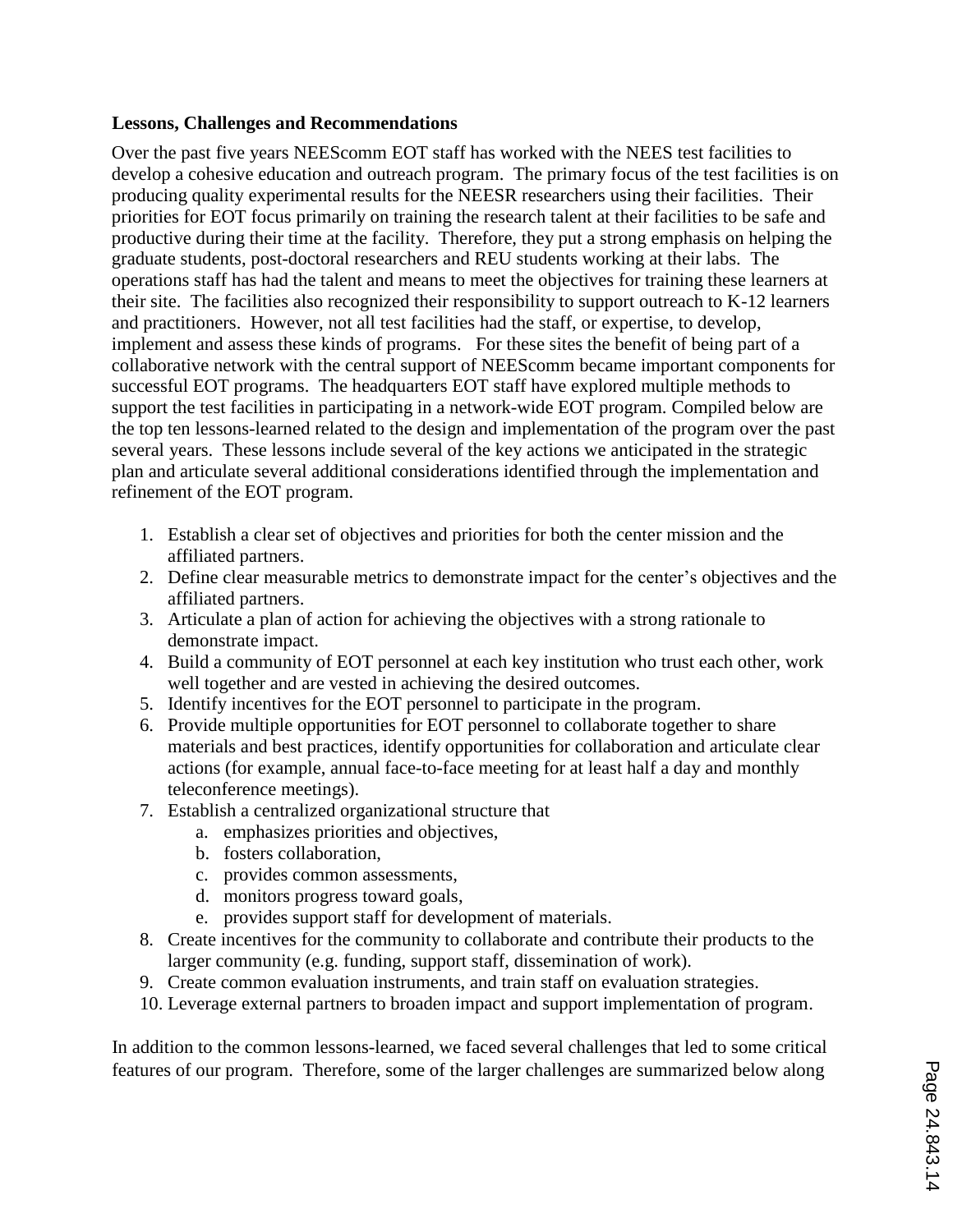#### **Lessons, Challenges and Recommendations**

Over the past five years NEEScomm EOT staff has worked with the NEES test facilities to develop a cohesive education and outreach program. The primary focus of the test facilities is on producing quality experimental results for the NEESR researchers using their facilities. Their priorities for EOT focus primarily on training the research talent at their facilities to be safe and productive during their time at the facility. Therefore, they put a strong emphasis on helping the graduate students, post-doctoral researchers and REU students working at their labs. The operations staff has had the talent and means to meet the objectives for training these learners at their site. The facilities also recognized their responsibility to support outreach to K-12 learners and practitioners. However, not all test facilities had the staff, or expertise, to develop, implement and assess these kinds of programs. For these sites the benefit of being part of a collaborative network with the central support of NEEScomm became important components for successful EOT programs. The headquarters EOT staff have explored multiple methods to support the test facilities in participating in a network-wide EOT program. Compiled below are the top ten lessons-learned related to the design and implementation of the program over the past several years. These lessons include several of the key actions we anticipated in the strategic plan and articulate several additional considerations identified through the implementation and refinement of the EOT program.

- 1. Establish a clear set of objectives and priorities for both the center mission and the affiliated partners.
- 2. Define clear measurable metrics to demonstrate impact for the center's objectives and the affiliated partners.
- 3. Articulate a plan of action for achieving the objectives with a strong rationale to demonstrate impact.
- 4. Build a community of EOT personnel at each key institution who trust each other, work well together and are vested in achieving the desired outcomes.
- 5. Identify incentives for the EOT personnel to participate in the program.
- 6. Provide multiple opportunities for EOT personnel to collaborate together to share materials and best practices, identify opportunities for collaboration and articulate clear actions (for example, annual face-to-face meeting for at least half a day and monthly teleconference meetings).
- 7. Establish a centralized organizational structure that
	- a. emphasizes priorities and objectives,
	- b. fosters collaboration,
	- c. provides common assessments,
	- d. monitors progress toward goals,
	- e. provides support staff for development of materials.
- 8. Create incentives for the community to collaborate and contribute their products to the larger community (e.g. funding, support staff, dissemination of work).
- 9. Create common evaluation instruments, and train staff on evaluation strategies.
- 10. Leverage external partners to broaden impact and support implementation of program.

In addition to the common lessons-learned, we faced several challenges that led to some critical features of our program. Therefore, some of the larger challenges are summarized below along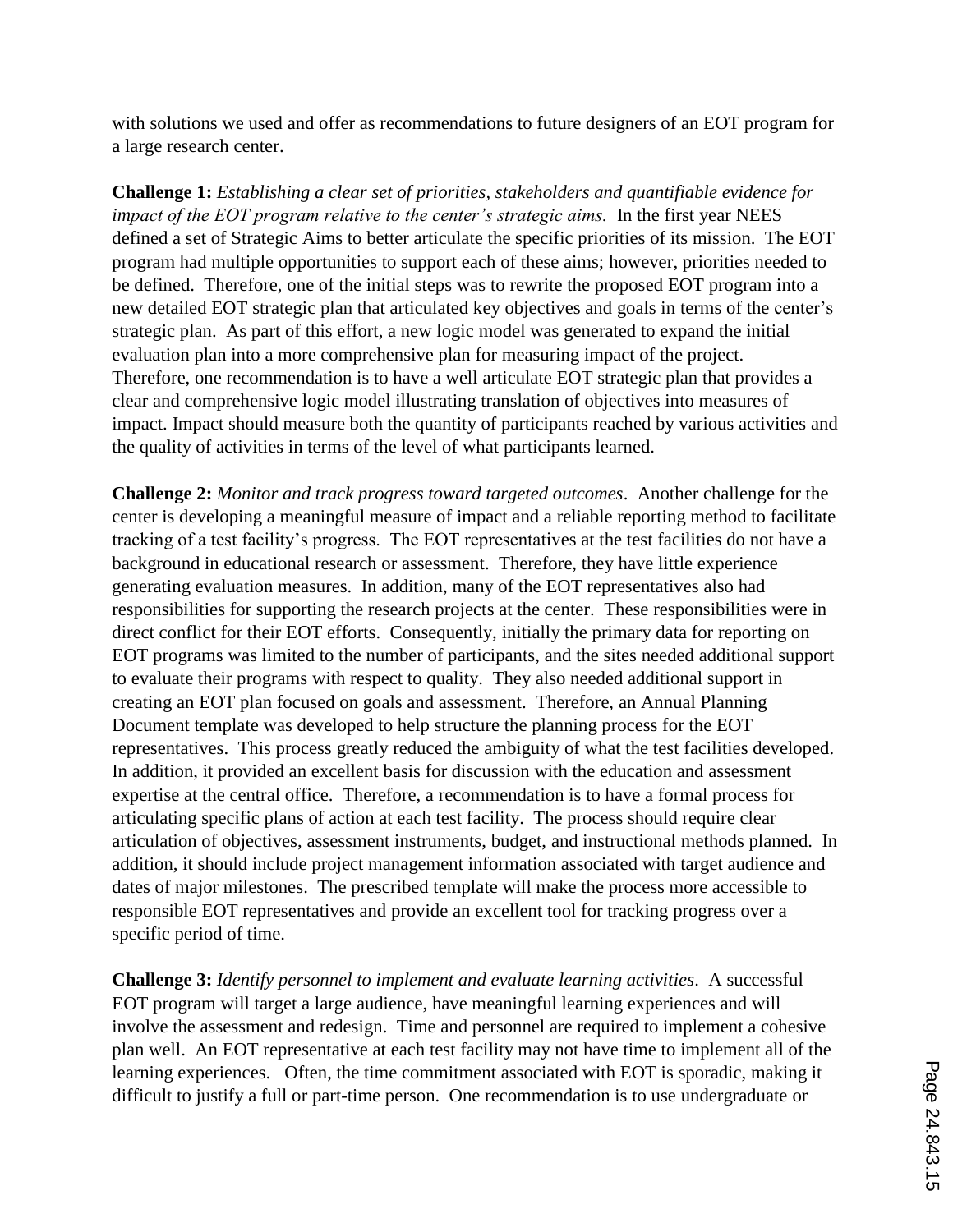with solutions we used and offer as recommendations to future designers of an EOT program for a large research center.

**Challenge 1:** *Establishing a clear set of priorities, stakeholders and quantifiable evidence for impact of the EOT program relative to the center's strategic aims.* In the first year NEES defined a set of Strategic Aims to better articulate the specific priorities of its mission. The EOT program had multiple opportunities to support each of these aims; however, priorities needed to be defined. Therefore, one of the initial steps was to rewrite the proposed EOT program into a new detailed EOT strategic plan that articulated key objectives and goals in terms of the center's strategic plan. As part of this effort, a new logic model was generated to expand the initial evaluation plan into a more comprehensive plan for measuring impact of the project. Therefore, one recommendation is to have a well articulate EOT strategic plan that provides a clear and comprehensive logic model illustrating translation of objectives into measures of impact. Impact should measure both the quantity of participants reached by various activities and the quality of activities in terms of the level of what participants learned.

**Challenge 2:** *Monitor and track progress toward targeted outcomes*. Another challenge for the center is developing a meaningful measure of impact and a reliable reporting method to facilitate tracking of a test facility's progress. The EOT representatives at the test facilities do not have a background in educational research or assessment. Therefore, they have little experience generating evaluation measures. In addition, many of the EOT representatives also had responsibilities for supporting the research projects at the center. These responsibilities were in direct conflict for their EOT efforts. Consequently, initially the primary data for reporting on EOT programs was limited to the number of participants, and the sites needed additional support to evaluate their programs with respect to quality. They also needed additional support in creating an EOT plan focused on goals and assessment. Therefore, an Annual Planning Document template was developed to help structure the planning process for the EOT representatives. This process greatly reduced the ambiguity of what the test facilities developed. In addition, it provided an excellent basis for discussion with the education and assessment expertise at the central office. Therefore, a recommendation is to have a formal process for articulating specific plans of action at each test facility. The process should require clear articulation of objectives, assessment instruments, budget, and instructional methods planned. In addition, it should include project management information associated with target audience and dates of major milestones. The prescribed template will make the process more accessible to responsible EOT representatives and provide an excellent tool for tracking progress over a specific period of time.

**Challenge 3:** *Identify personnel to implement and evaluate learning activities*. A successful EOT program will target a large audience, have meaningful learning experiences and will involve the assessment and redesign. Time and personnel are required to implement a cohesive plan well. An EOT representative at each test facility may not have time to implement all of the learning experiences. Often, the time commitment associated with EOT is sporadic, making it difficult to justify a full or part-time person. One recommendation is to use undergraduate or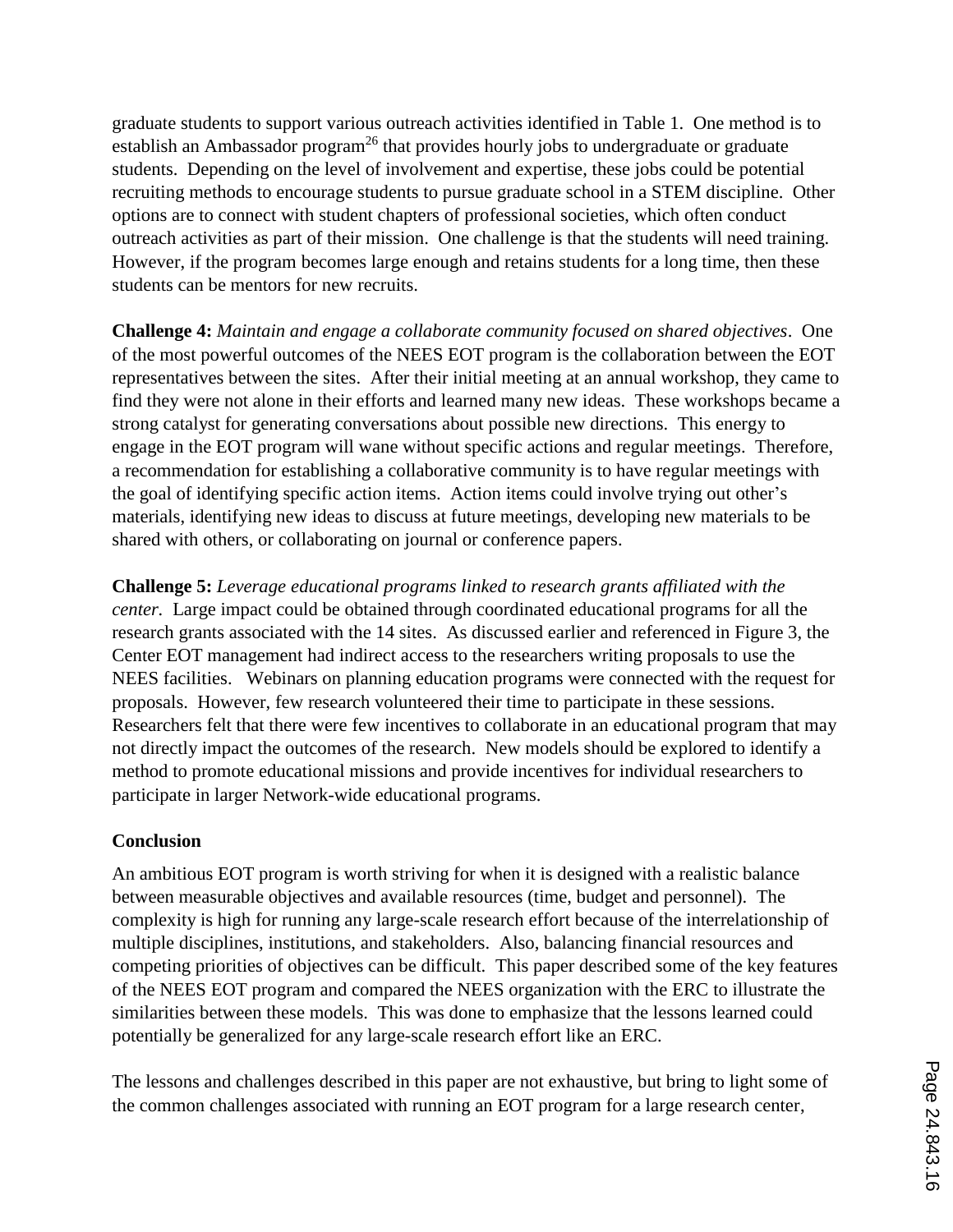graduate students to support various outreach activities identified in Table 1. One method is to establish an Ambassador program<sup>26</sup> that provides hourly jobs to undergraduate or graduate students. Depending on the level of involvement and expertise, these jobs could be potential recruiting methods to encourage students to pursue graduate school in a STEM discipline. Other options are to connect with student chapters of professional societies, which often conduct outreach activities as part of their mission. One challenge is that the students will need training. However, if the program becomes large enough and retains students for a long time, then these students can be mentors for new recruits.

**Challenge 4:** *Maintain and engage a collaborate community focused on shared objectives*. One of the most powerful outcomes of the NEES EOT program is the collaboration between the EOT representatives between the sites. After their initial meeting at an annual workshop, they came to find they were not alone in their efforts and learned many new ideas. These workshops became a strong catalyst for generating conversations about possible new directions. This energy to engage in the EOT program will wane without specific actions and regular meetings. Therefore, a recommendation for establishing a collaborative community is to have regular meetings with the goal of identifying specific action items. Action items could involve trying out other's materials, identifying new ideas to discuss at future meetings, developing new materials to be shared with others, or collaborating on journal or conference papers.

**Challenge 5:** *Leverage educational programs linked to research grants affiliated with the center.* Large impact could be obtained through coordinated educational programs for all the research grants associated with the 14 sites. As discussed earlier and referenced in Figure 3, the Center EOT management had indirect access to the researchers writing proposals to use the NEES facilities. Webinars on planning education programs were connected with the request for proposals. However, few research volunteered their time to participate in these sessions. Researchers felt that there were few incentives to collaborate in an educational program that may not directly impact the outcomes of the research. New models should be explored to identify a method to promote educational missions and provide incentives for individual researchers to participate in larger Network-wide educational programs.

# **Conclusion**

An ambitious EOT program is worth striving for when it is designed with a realistic balance between measurable objectives and available resources (time, budget and personnel). The complexity is high for running any large-scale research effort because of the interrelationship of multiple disciplines, institutions, and stakeholders. Also, balancing financial resources and competing priorities of objectives can be difficult. This paper described some of the key features of the NEES EOT program and compared the NEES organization with the ERC to illustrate the similarities between these models. This was done to emphasize that the lessons learned could potentially be generalized for any large-scale research effort like an ERC.

The lessons and challenges described in this paper are not exhaustive, but bring to light some of the common challenges associated with running an EOT program for a large research center,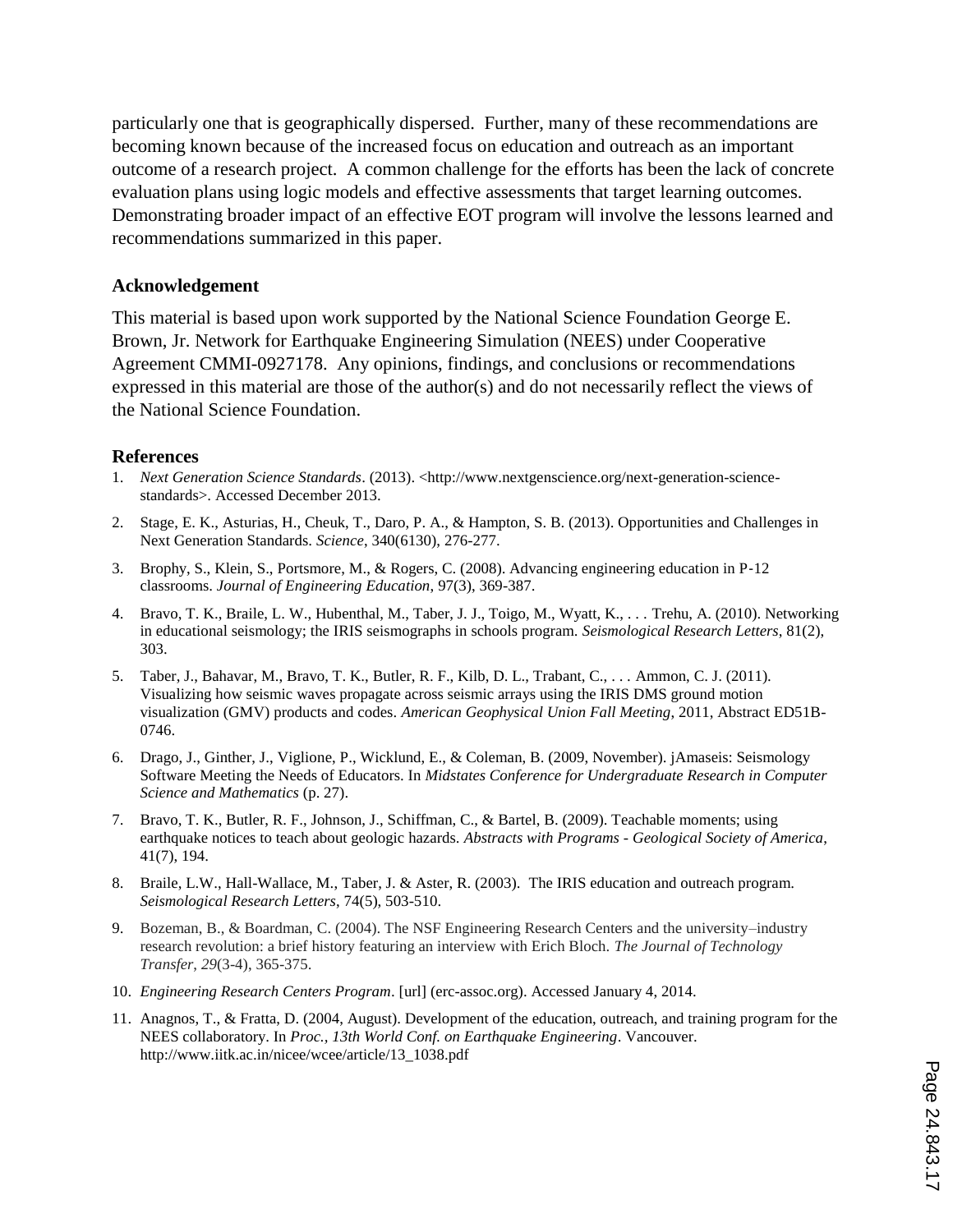particularly one that is geographically dispersed. Further, many of these recommendations are becoming known because of the increased focus on education and outreach as an important outcome of a research project. A common challenge for the efforts has been the lack of concrete evaluation plans using logic models and effective assessments that target learning outcomes. Demonstrating broader impact of an effective EOT program will involve the lessons learned and recommendations summarized in this paper.

#### **Acknowledgement**

This material is based upon work supported by the National Science Foundation George E. Brown, Jr. Network for Earthquake Engineering Simulation (NEES) under Cooperative Agreement CMMI-0927178. Any opinions, findings, and conclusions or recommendations expressed in this material are those of the author(s) and do not necessarily reflect the views of the National Science Foundation.

#### **References**

- 1. *Next Generation Science Standards.* (2013). <http://www.nextgenscience.org/next-generation-sciencestandards>. Accessed December 2013.
- 2. Stage, E. K., Asturias, H., Cheuk, T., Daro, P. A., & Hampton, S. B. (2013). Opportunities and Challenges in Next Generation Standards. *Science*, 340(6130), 276-277.
- 3. Brophy, S., Klein, S., Portsmore, M., & Rogers, C. (2008). Advancing engineering education in P‐12 classrooms. *Journal of Engineering Education*, 97(3), 369-387.
- 4. Bravo, T. K., Braile, L. W., Hubenthal, M., Taber, J. J., Toigo, M., Wyatt, K., . . . Trehu, A. (2010). Networking in educational seismology; the IRIS seismographs in schools program. *Seismological Research Letters*, 81(2), 303.
- 5. Taber, J., Bahavar, M., Bravo, T. K., Butler, R. F., Kilb, D. L., Trabant, C., . . . Ammon, C. J. (2011). Visualizing how seismic waves propagate across seismic arrays using the IRIS DMS ground motion visualization (GMV) products and codes. *American Geophysical Union Fall Meeting*, 2011, Abstract ED51B-0746.
- 6. Drago, J., Ginther, J., Viglione, P., Wicklund, E., & Coleman, B. (2009, November). jAmaseis: Seismology Software Meeting the Needs of Educators. In *Midstates Conference for Undergraduate Research in Computer Science and Mathematics* (p. 27).
- 7. Bravo, T. K., Butler, R. F., Johnson, J., Schiffman, C., & Bartel, B. (2009). Teachable moments; using earthquake notices to teach about geologic hazards. *Abstracts with Programs - Geological Society of America*, 41(7), 194.
- 8. Braile, L.W., Hall-Wallace, M., Taber, J. & Aster, R. (2003). The IRIS education and outreach program. *Seismological Research Letters*, 74(5), 503-510.
- 9. Bozeman, B., & Boardman, C. (2004). The NSF Engineering Research Centers and the university–industry research revolution: a brief history featuring an interview with Erich Bloch. *The Journal of Technology Transfer*, *29*(3-4), 365-375.
- 10. *Engineering Research Centers Program*. [url] (erc-assoc.org). Accessed January 4, 2014.
- 11. Anagnos, T., & Fratta, D. (2004, August). Development of the education, outreach, and training program for the NEES collaboratory. In *Proc., 13th World Conf. on Earthquake Engineering*. Vancouver. http://www.iitk.ac.in/nicee/wcee/article/13\_1038.pdf